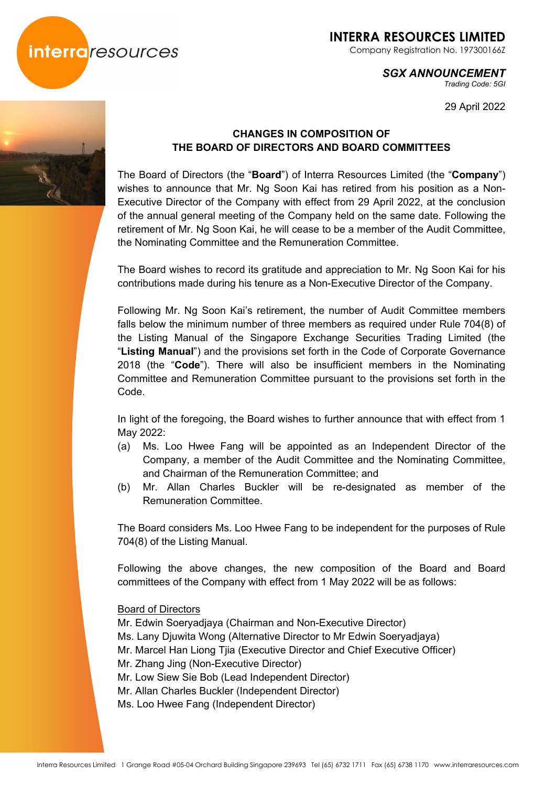

Company Registration No. 197300166Z

#### *SGX ANNOUNCEMENT*

*Trading Code: 5GI* 

29 April 2022



### **CHANGES IN COMPOSITION OF THE BOARD OF DIRECTORS AND BOARD COMMITTEES**

The Board of Directors (the "**Board**") of Interra Resources Limited (the "**Company**") wishes to announce that Mr. Ng Soon Kai has retired from his position as a Non-Executive Director of the Company with effect from 29 April 2022, at the conclusion of the annual general meeting of the Company held on the same date. Following the retirement of Mr. Ng Soon Kai, he will cease to be a member of the Audit Committee, the Nominating Committee and the Remuneration Committee.

The Board wishes to record its gratitude and appreciation to Mr. Ng Soon Kai for his contributions made during his tenure as a Non-Executive Director of the Company.

Following Mr. Ng Soon Kai's retirement, the number of Audit Committee members falls below the minimum number of three members as required under Rule 704(8) of the Listing Manual of the Singapore Exchange Securities Trading Limited (the "**Listing Manual**") and the provisions set forth in the Code of Corporate Governance 2018 (the "**Code**"). There will also be insufficient members in the Nominating Committee and Remuneration Committee pursuant to the provisions set forth in the Code.

In light of the foregoing, the Board wishes to further announce that with effect from 1 May 2022:

- (a) Ms. Loo Hwee Fang will be appointed as an Independent Director of the Company, a member of the Audit Committee and the Nominating Committee, and Chairman of the Remuneration Committee; and
- (b) Mr. Allan Charles Buckler will be re-designated as member of the Remuneration Committee.

The Board considers Ms. Loo Hwee Fang to be independent for the purposes of Rule 704(8) of the Listing Manual.

Following the above changes, the new composition of the Board and Board committees of the Company with effect from 1 May 2022 will be as follows:

Board of Directors

Mr. Edwin Soeryadjaya (Chairman and Non-Executive Director) Ms. Lany Djuwita Wong (Alternative Director to Mr Edwin Soeryadjaya)

- Mr. Marcel Han Liong Tjia (Executive Director and Chief Executive Officer)
- Mr. Zhang Jing (Non-Executive Director)
- Mr. Low Siew Sie Bob (Lead Independent Director)
- Mr. Allan Charles Buckler (Independent Director)
- Ms. Loo Hwee Fang (Independent Director)